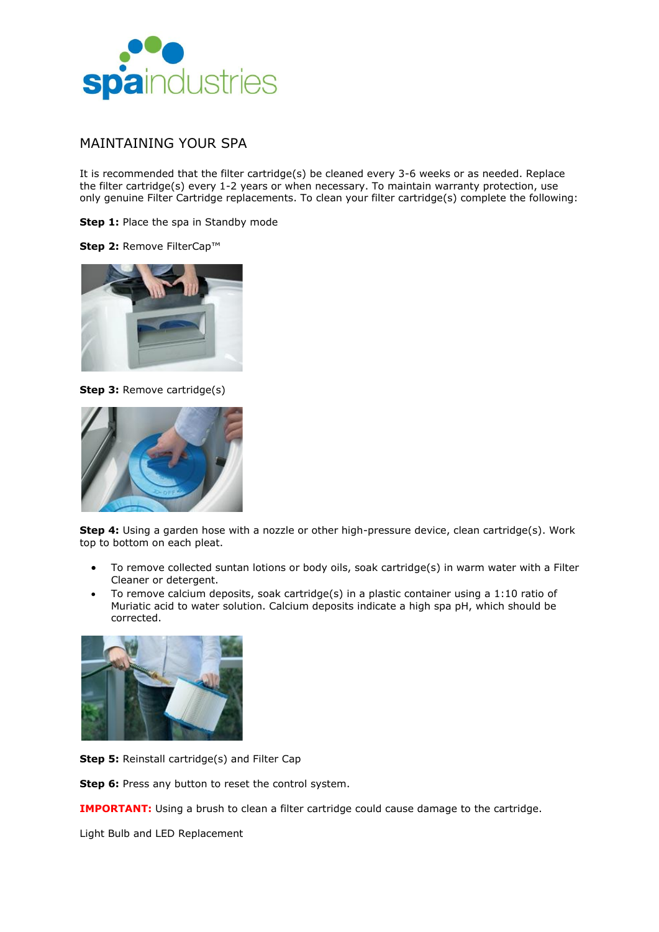

# MAINTAINING YOUR SPA

It is recommended that the filter cartridge(s) be cleaned every 3-6 weeks or as needed. Replace the filter cartridge(s) every 1-2 years or when necessary. To maintain warranty protection, use only genuine Filter Cartridge replacements. To clean your filter cartridge(s) complete the following:

**Step 1:** Place the spa in Standby mode

**Step 2:** Remove FilterCap™



**Step 3: Remove cartridge(s)** 



**Step 4:** Using a garden hose with a nozzle or other high-pressure device, clean cartridge(s). Work top to bottom on each pleat.

- To remove collected suntan lotions or body oils, soak cartridge(s) in warm water with a Filter Cleaner or detergent.
- To remove calcium deposits, soak cartridge(s) in a plastic container using a 1:10 ratio of Muriatic acid to water solution. Calcium deposits indicate a high spa pH, which should be corrected.



**Step 5:** Reinstall cartridge(s) and Filter Cap

**Step 6:** Press any button to reset the control system.

**IMPORTANT:** Using a brush to clean a filter cartridge could cause damage to the cartridge.

Light Bulb and LED Replacement